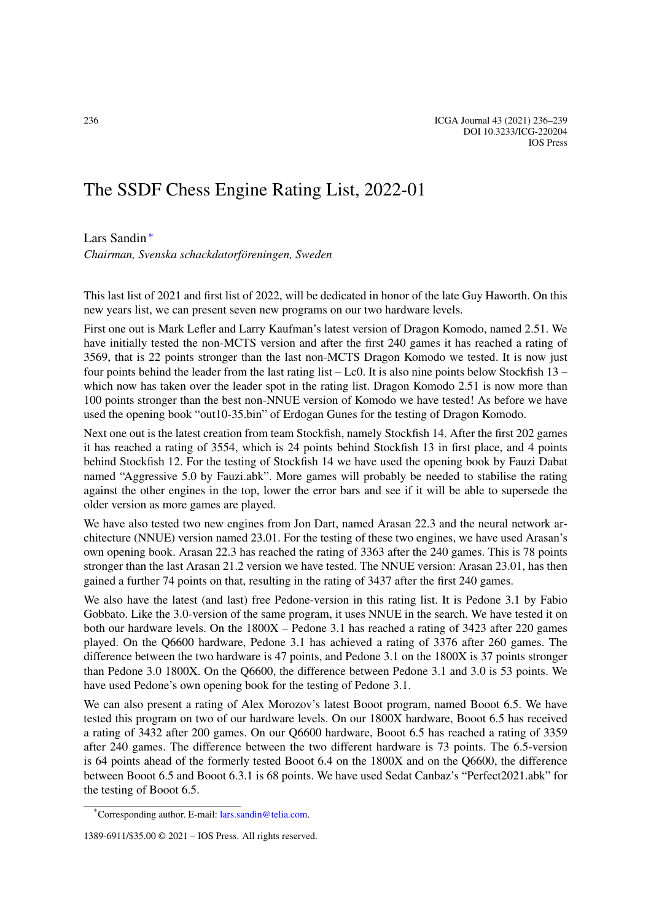## The SSDF Chess Engine Rating List, 2022-01

## Lars Sandin [∗](#page-0-0)

*Chairman, Svenska schackdatorföreningen, Sweden*

This last list of 2021 and first list of 2022, will be dedicated in honor of the late Guy Haworth. On this new years list, we can present seven new programs on our two hardware levels.

First one out is Mark Lefler and Larry Kaufman's latest version of Dragon Komodo, named 2.51. We have initially tested the non-MCTS version and after the first 240 games it has reached a rating of 3569, that is 22 points stronger than the last non-MCTS Dragon Komodo we tested. It is now just four points behind the leader from the last rating list  $-$  Lc0. It is also nine points below Stockfish 13 – which now has taken over the leader spot in the rating list. Dragon Komodo 2.51 is now more than 100 points stronger than the best non-NNUE version of Komodo we have tested! As before we have used the opening book "out10-35.bin" of Erdogan Gunes for the testing of Dragon Komodo.

Next one out is the latest creation from team Stockfish, namely Stockfish 14. After the first 202 games it has reached a rating of 3554, which is 24 points behind Stockfish 13 in first place, and 4 points behind Stockfish 12. For the testing of Stockfish 14 we have used the opening book by Fauzi Dabat named "Aggressive 5.0 by Fauzi.abk". More games will probably be needed to stabilise the rating against the other engines in the top, lower the error bars and see if it will be able to supersede the older version as more games are played.

We have also tested two new engines from Jon Dart, named Arasan 22.3 and the neural network architecture (NNUE) version named 23.01. For the testing of these two engines, we have used Arasan's own opening book. Arasan 22.3 has reached the rating of 3363 after the 240 games. This is 78 points stronger than the last Arasan 21.2 version we have tested. The NNUE version: Arasan 23.01, has then gained a further 74 points on that, resulting in the rating of 3437 after the first 240 games.

We also have the latest (and last) free Pedone-version in this rating list. It is Pedone 3.1 by Fabio Gobbato. Like the 3.0-version of the same program, it uses NNUE in the search. We have tested it on both our hardware levels. On the 1800X – Pedone 3.1 has reached a rating of 3423 after 220 games played. On the Q6600 hardware, Pedone 3.1 has achieved a rating of 3376 after 260 games. The difference between the two hardware is 47 points, and Pedone 3.1 on the 1800X is 37 points stronger than Pedone 3.0 1800X. On the Q6600, the difference between Pedone 3.1 and 3.0 is 53 points. We have used Pedone's own opening book for the testing of Pedone 3.1.

We can also present a rating of Alex Morozov's latest Booot program, named Booot 6.5. We have tested this program on two of our hardware levels. On our 1800X hardware, Booot 6.5 has received a rating of 3432 after 200 games. On our Q6600 hardware, Booot 6.5 has reached a rating of 3359 after 240 games. The difference between the two different hardware is 73 points. The 6.5-version is 64 points ahead of the formerly tested Booot 6.4 on the 1800X and on the Q6600, the difference between Booot 6.5 and Booot 6.3.1 is 68 points. We have used Sedat Canbaz's "Perfect2021.abk" for the testing of Booot 6.5.

<span id="page-0-0"></span><sup>\*</sup>Corresponding author. E-mail: [lars.sandin@telia.com](mailto:lars.sandin@telia.com).

<sup>1389-6911/\$35.00 © 2021 –</sup> IOS Press. All rights reserved.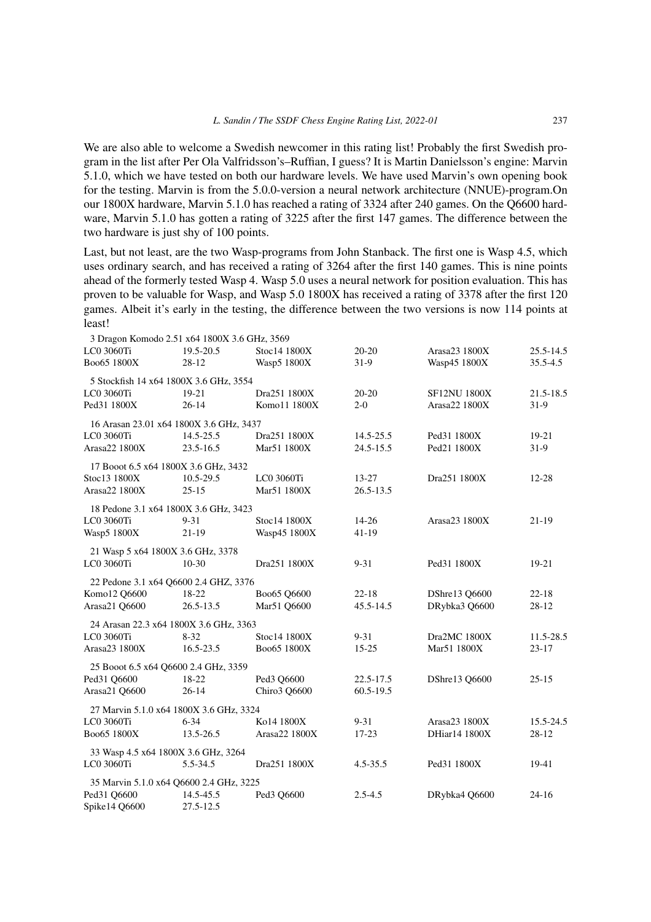We are also able to welcome a Swedish newcomer in this rating list! Probably the first Swedish program in the list after Per Ola Valfridsson's–Ruffian, I guess? It is Martin Danielsson's engine: Marvin 5.1.0, which we have tested on both our hardware levels. We have used Marvin's own opening book for the testing. Marvin is from the 5.0.0-version a neural network architecture (NNUE)-program.On our 1800X hardware, Marvin 5.1.0 has reached a rating of 3324 after 240 games. On the Q6600 hardware, Marvin 5.1.0 has gotten a rating of 3225 after the first 147 games. The difference between the two hardware is just shy of 100 points.

Last, but not least, are the two Wasp-programs from John Stanback. The first one is Wasp 4.5, which uses ordinary search, and has received a rating of 3264 after the first 140 games. This is nine points ahead of the formerly tested Wasp 4. Wasp 5.0 uses a neural network for position evaluation. This has proven to be valuable for Wasp, and Wasp 5.0 1800X has received a rating of 3378 after the first 120 games. Albeit it's early in the testing, the difference between the two versions is now 114 points at least!

| 3 Dragon Komodo 2.51 x64 1800X 3.6 GHz, 3569 |               |               |               |                      |              |
|----------------------------------------------|---------------|---------------|---------------|----------------------|--------------|
| LC0 3060Ti                                   | 19.5-20.5     | Stoc14 1800X  | 20-20         | Arasa23 1800X        | 25.5-14.5    |
| Boo65 1800X                                  | $28-12$       | Wasp5 1800X   | $31-9$        | Wasp45 1800X         | $35.5 - 4.5$ |
| 5 Stockfish 14 x64 1800X 3.6 GHz, 3554       |               |               |               |                      |              |
| LC0 3060Ti                                   | 19-21         | Dra251 1800X  | $20 - 20$     | <b>SF12NU 1800X</b>  | 21.5-18.5    |
| Ped31 1800X                                  | $26 - 14$     | Komo11 1800X  | $2 - 0$       | Arasa22 1800X        | $31-9$       |
| 16 Arasan 23.01 x64 1800X 3.6 GHz, 3437      |               |               |               |                      |              |
| LC0 3060Ti                                   | 14.5-25.5     | Dra251 1800X  | 14.5-25.5     | Ped31 1800X          | $19-21$      |
| Arasa22 1800X                                | 23.5-16.5     | Mar51 1800X   | 24.5-15.5     | Ped21 1800X          | $31-9$       |
| 17 Booot 6.5 x64 1800X 3.6 GHz, 3432         |               |               |               |                      |              |
| Stoc13 1800X                                 | 10.5-29.5     | LC0 3060Ti    | $13 - 27$     | Dra251 1800X         | $12 - 28$    |
| Arasa22 1800X                                | $25 - 15$     | Mar51 1800X   | $26.5 - 13.5$ |                      |              |
|                                              |               |               |               |                      |              |
| 18 Pedone 3.1 x64 1800X 3.6 GHz, 3423        |               |               |               |                      |              |
| LC0 3060Ti                                   | $9 - 31$      | Stoc14 1800X  | $14 - 26$     | Arasa23 1800X        | 21-19        |
| Wasp5 1800X                                  | $21-19$       | Wasp45 1800X  | $41-19$       |                      |              |
| 21 Wasp 5 x64 1800X 3.6 GHz, 3378            |               |               |               |                      |              |
| LC0 3060Ti                                   | $10-30$       | Dra251 1800X  | $9 - 31$      | Ped31 1800X          | 19-21        |
| 22 Pedone 3.1 x64 Q6600 2.4 GHZ, 3376        |               |               |               |                      |              |
| Komo12 Q6600                                 | 18-22         | Boo65 Q6600   | $22 - 18$     | DShre13 Q6600        | $22 - 18$    |
| Arasa21 Q6600                                | $26.5 - 13.5$ | Mar51 Q6600   | 45.5-14.5     | DRybka3 Q6600        | 28-12        |
| 24 Arasan 22.3 x64 1800X 3.6 GHz, 3363       |               |               |               |                      |              |
| LC0 3060Ti                                   | $8 - 32$      | Stoc14 1800X  | $9 - 31$      | Dra2MC 1800X         | 11.5-28.5    |
| Arasa23 1800X                                | 16.5-23.5     | Boo65 1800X   | $15 - 25$     | Mar51 1800X          | $23 - 17$    |
| 25 Booot 6.5 x64 Q6600 2.4 GHz, 3359         |               |               |               |                      |              |
| Ped31 Q6600                                  | 18-22         | Ped3 Q6600    | 22.5-17.5     | DShre13 Q6600        | $25 - 15$    |
| Arasa21 Q6600                                | $26 - 14$     | Chiro3 O6600  | $60.5 - 19.5$ |                      |              |
| 27 Marvin 5.1.0 x64 1800X 3.6 GHz, 3324      |               |               |               |                      |              |
| LC0 3060Ti                                   | $6 - 34$      | Ko14 1800X    | $9 - 31$      | Arasa23 1800X        | 15.5-24.5    |
| Boo65 1800X                                  | 13.5-26.5     | Arasa22 1800X | $17 - 23$     | <b>DHiar14 1800X</b> | 28-12        |
|                                              |               |               |               |                      |              |
| 33 Wasp 4.5 x64 1800X 3.6 GHz, 3264          |               |               |               |                      |              |
| LC0 3060Ti                                   | 5.5-34.5      | Dra251 1800X  | $4.5 - 35.5$  | Ped31 1800X          | 19-41        |
| 35 Marvin 5.1.0 x64 Q6600 2.4 GHz, 3225      |               |               |               |                      |              |
| Ped31 Q6600                                  | 14.5-45.5     | Ped3 Q6600    | $2.5 - 4.5$   | DRybka4 Q6600        | $24 - 16$    |
| Spike14 Q6600                                | 27.5-12.5     |               |               |                      |              |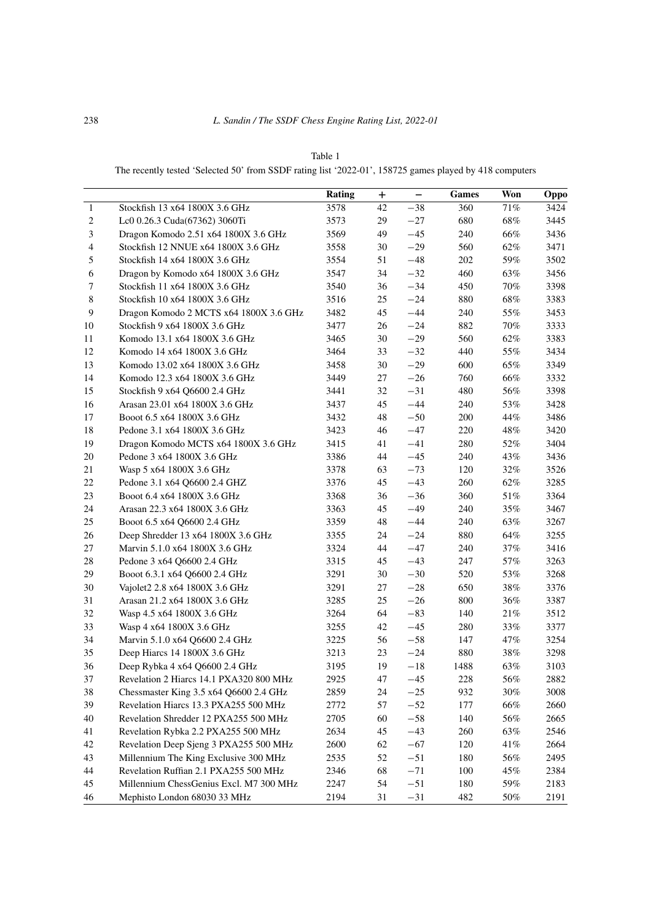| ٧<br>× |  |
|--------|--|
|--------|--|

The recently tested 'Selected 50' from SSDF rating list '2022-01', 158725 games played by 418 computers

|                |                                         | <b>Rating</b> | $\bf{+}$ | $\qquad \qquad -$ | <b>Games</b> | Won    | Oppo |
|----------------|-----------------------------------------|---------------|----------|-------------------|--------------|--------|------|
| $\mathbf{1}$   | Stockfish 13 x64 1800X 3.6 GHz          | 3578          | 42       | $-38$             | 360          | 71%    | 3424 |
| $\sqrt{2}$     | Lc0 0.26.3 Cuda(67362) 3060Ti           | 3573          | 29       | $-27$             | 680          | $68\%$ | 3445 |
| $\mathfrak{Z}$ | Dragon Komodo 2.51 x64 1800X 3.6 GHz    | 3569          | 49       | $-45$             | 240          | 66%    | 3436 |
| $\overline{4}$ | Stockfish 12 NNUE x64 1800X 3.6 GHz     | 3558          | 30       | $-29$             | 560          | $62\%$ | 3471 |
| $\sqrt{5}$     | Stockfish 14 x64 1800X 3.6 GHz          | 3554          | 51       | $-48$             | 202          | 59%    | 3502 |
| $\sqrt{6}$     | Dragon by Komodo x64 1800X 3.6 GHz      | 3547          | 34       | $-32$             | 460          | 63%    | 3456 |
| 7              | Stockfish 11 x64 1800X 3.6 GHz          | 3540          | 36       | $-34$             | 450          | 70%    | 3398 |
| $\,8\,$        | Stockfish 10 x64 1800X 3.6 GHz          | 3516          | 25       | $-24$             | 880          | $68\%$ | 3383 |
| 9              | Dragon Komodo 2 MCTS x64 1800X 3.6 GHz  | 3482          | 45       | $-44$             | 240          | 55%    | 3453 |
| 10             | Stockfish 9 x64 1800X 3.6 GHz           | 3477          | 26       | $-24$             | 882          | 70%    | 3333 |
| 11             | Komodo 13.1 x64 1800X 3.6 GHz           | 3465          | 30       | $-29$             | 560          | 62%    | 3383 |
| 12             | Komodo 14 x64 1800X 3.6 GHz             | 3464          | 33       | $-32$             | 440          | 55%    | 3434 |
| 13             | Komodo 13.02 x64 1800X 3.6 GHz          | 3458          | 30       | $-29$             | 600          | 65%    | 3349 |
| 14             | Komodo 12.3 x64 1800X 3.6 GHz           | 3449          | 27       | $-26$             | 760          | 66%    | 3332 |
| 15             | Stockfish 9 x64 Q6600 2.4 GHz           | 3441          | 32       | $-31$             | 480          | 56%    | 3398 |
| 16             | Arasan 23.01 x64 1800X 3.6 GHz          | 3437          | 45       | $-44$             | 240          | 53%    | 3428 |
| 17             | Booot 6.5 x64 1800X 3.6 GHz             | 3432          | 48       | $-50$             | 200          | 44%    | 3486 |
| 18             | Pedone 3.1 x64 1800X 3.6 GHz            | 3423          | 46       | $-47$             | 220          | 48%    | 3420 |
| 19             | Dragon Komodo MCTS x64 1800X 3.6 GHz    | 3415          | 41       | $-41$             | 280          | 52%    | 3404 |
| $20\,$         | Pedone 3 x64 1800X 3.6 GHz              | 3386          | 44       | $-45$             | 240          | 43%    | 3436 |
| $21\,$         | Wasp 5 x64 1800X 3.6 GHz                | 3378          | 63       | $-73$             | 120          | 32%    | 3526 |
| $22\,$         | Pedone 3.1 x64 Q6600 2.4 GHZ            | 3376          | 45       | $-43$             | 260          | 62%    | 3285 |
| $23\,$         | Booot 6.4 x64 1800X 3.6 GHz             | 3368          | 36       | $-36$             | 360          | $51\%$ | 3364 |
| 24             | Arasan 22.3 x64 1800X 3.6 GHz           | 3363          | 45       | $-49$             | 240          | $35\%$ | 3467 |
| 25             | Booot 6.5 x64 Q6600 2.4 GHz             | 3359          | 48       | $-44$             | 240          | 63%    | 3267 |
| 26             | Deep Shredder 13 x64 1800X 3.6 GHz      | 3355          | 24       | $-24$             | 880          | 64%    | 3255 |
| 27             | Marvin 5.1.0 x64 1800X 3.6 GHz          | 3324          | 44       | $-47$             | 240          | $37\%$ | 3416 |
| $28\,$         | Pedone 3 x64 Q6600 2.4 GHz              | 3315          | 45       | $-43$             | 247          | 57%    | 3263 |
| 29             | Booot 6.3.1 x64 Q6600 2.4 GHz           | 3291          | 30       | $-30$             | 520          | 53%    | 3268 |
| 30             | Vajolet2 2.8 x64 1800X 3.6 GHz          | 3291          | 27       | $-28\,$           | 650          | 38%    | 3376 |
| 31             | Arasan 21.2 x64 1800X 3.6 GHz           | 3285          | 25       | $-26$             | 800          | 36%    | 3387 |
| 32             | Wasp 4.5 x64 1800X 3.6 GHz              | 3264          | 64       | $-83$             | 140          | $21\%$ | 3512 |
| 33             | Wasp 4 x64 1800X 3.6 GHz                | 3255          | 42       | $-45$             | 280          | 33%    | 3377 |
| 34             | Marvin 5.1.0 x64 Q6600 2.4 GHz          | 3225          | 56       | $-58$             | 147          | 47%    | 3254 |
| 35             | Deep Hiarcs 14 1800X 3.6 GHz            | 3213          | 23       | $-24$             | 880          | $38\%$ | 3298 |
| 36             | Deep Rybka 4 x64 Q6600 2.4 GHz          | 3195          | 19       | $-18$             | 1488         | 63%    | 3103 |
| $37\,$         | Revelation 2 Hiarcs 14.1 PXA320 800 MHz | 2925          | 47       | $-45$             | 228          | $56\%$ | 2882 |
| 38             | Chessmaster King 3.5 x64 Q6600 2.4 GHz  | 2859          | 24       | $-25$             | 932          | $30\%$ | 3008 |
| 39             | Revelation Hiarcs 13.3 PXA255 500 MHz   | 2772          | 57       | $-52$             | 177          | $66\%$ | 2660 |
| $40\,$         | Revelation Shredder 12 PXA255 500 MHz   | 2705          | 60       | $-58$             | 140          | $56\%$ | 2665 |
| 41             | Revelation Rybka 2.2 PXA255 500 MHz     | 2634          | 45       | $-43$             | 260          | 63%    | 2546 |
| 42             | Revelation Deep Sjeng 3 PXA255 500 MHz  | 2600          | 62       | $-67$             | 120          | 41%    | 2664 |
| 43             | Millennium The King Exclusive 300 MHz   | 2535          | 52       | $-51$             | 180          | $56\%$ | 2495 |
| 44             | Revelation Ruffian 2.1 PXA255 500 MHz   | 2346          | 68       | $-71$             | 100          | 45%    | 2384 |
| 45             | Millennium ChessGenius Excl. M7 300 MHz | 2247          | 54       | $-51$             | 180          | 59%    | 2183 |
| 46             | Mephisto London 68030 33 MHz            | 2194          | 31       | $-31$             | 482          | 50%    | 2191 |